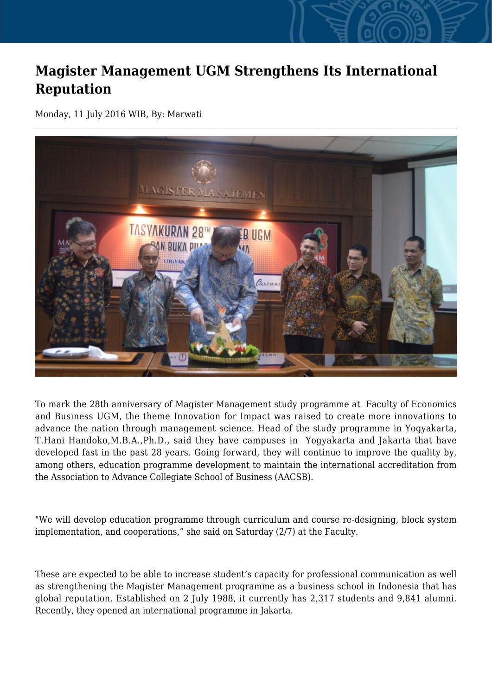## **Magister Management UGM Strengthens Its International Reputation**

Monday, 11 July 2016 WIB, By: Marwati



To mark the 28th anniversary of Magister Management study programme at Faculty of Economics and Business UGM, the theme Innovation for Impact was raised to create more innovations to advance the nation through management science. Head of the study programme in Yogyakarta, T.Hani Handoko,M.B.A.,Ph.D., said they have campuses in Yogyakarta and Jakarta that have developed fast in the past 28 years. Going forward, they will continue to improve the quality by, among others, education programme development to maintain the international accreditation from the Association to Advance Collegiate School of Business (AACSB).

"We will develop education programme through curriculum and course re-designing, block system implementation, and cooperations," she said on Saturday (2/7) at the Faculty.

These are expected to be able to increase student's capacity for professional communication as well as strengthening the Magister Management programme as a business school in Indonesia that has global reputation. Established on 2 July 1988, it currently has 2,317 students and 9,841 alumni. Recently, they opened an international programme in Jakarta.